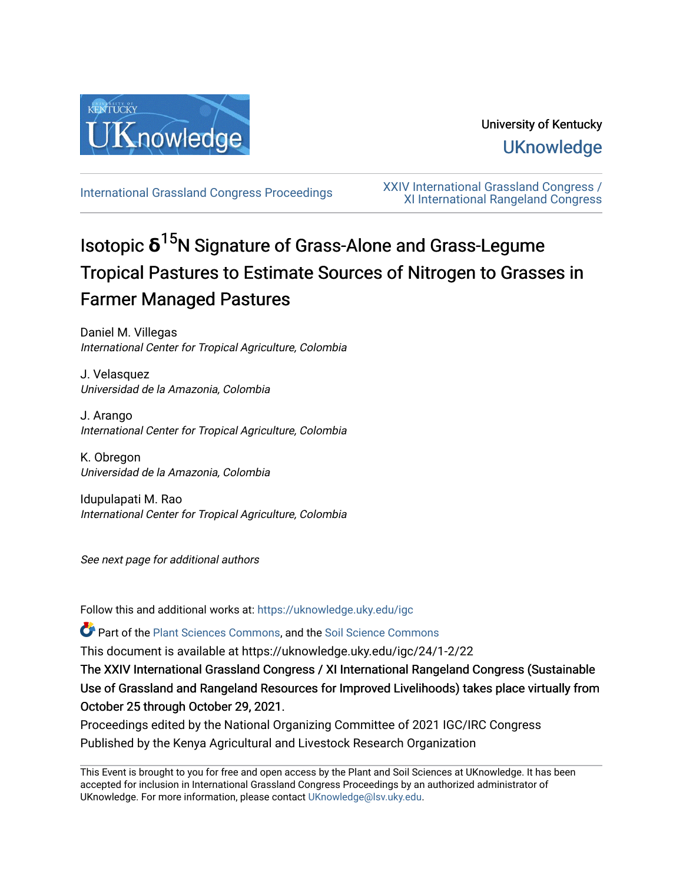

University of Kentucky **UKnowledge** 

[International Grassland Congress Proceedings](https://uknowledge.uky.edu/igc) [XXIV International Grassland Congress /](https://uknowledge.uky.edu/igc/24)  [XI International Rangeland Congress](https://uknowledge.uky.edu/igc/24) 

# Isotopic **δ** <sup>15</sup>N Signature of Grass-Alone and Grass-Legume Tropical Pastures to Estimate Sources of Nitrogen to Grasses in Farmer Managed Pastures

Daniel M. Villegas International Center for Tropical Agriculture, Colombia

J. Velasquez Universidad de la Amazonia, Colombia

J. Arango International Center for Tropical Agriculture, Colombia

K. Obregon Universidad de la Amazonia, Colombia

Idupulapati M. Rao International Center for Tropical Agriculture, Colombia

See next page for additional authors

Follow this and additional works at: [https://uknowledge.uky.edu/igc](https://uknowledge.uky.edu/igc?utm_source=uknowledge.uky.edu%2Figc%2F24%2F1-2%2F22&utm_medium=PDF&utm_campaign=PDFCoverPages) 

Part of the [Plant Sciences Commons](http://network.bepress.com/hgg/discipline/102?utm_source=uknowledge.uky.edu%2Figc%2F24%2F1-2%2F22&utm_medium=PDF&utm_campaign=PDFCoverPages), and the [Soil Science Commons](http://network.bepress.com/hgg/discipline/163?utm_source=uknowledge.uky.edu%2Figc%2F24%2F1-2%2F22&utm_medium=PDF&utm_campaign=PDFCoverPages) 

This document is available at https://uknowledge.uky.edu/igc/24/1-2/22

The XXIV International Grassland Congress / XI International Rangeland Congress (Sustainable Use of Grassland and Rangeland Resources for Improved Livelihoods) takes place virtually from October 25 through October 29, 2021.

Proceedings edited by the National Organizing Committee of 2021 IGC/IRC Congress Published by the Kenya Agricultural and Livestock Research Organization

This Event is brought to you for free and open access by the Plant and Soil Sciences at UKnowledge. It has been accepted for inclusion in International Grassland Congress Proceedings by an authorized administrator of UKnowledge. For more information, please contact [UKnowledge@lsv.uky.edu](mailto:UKnowledge@lsv.uky.edu).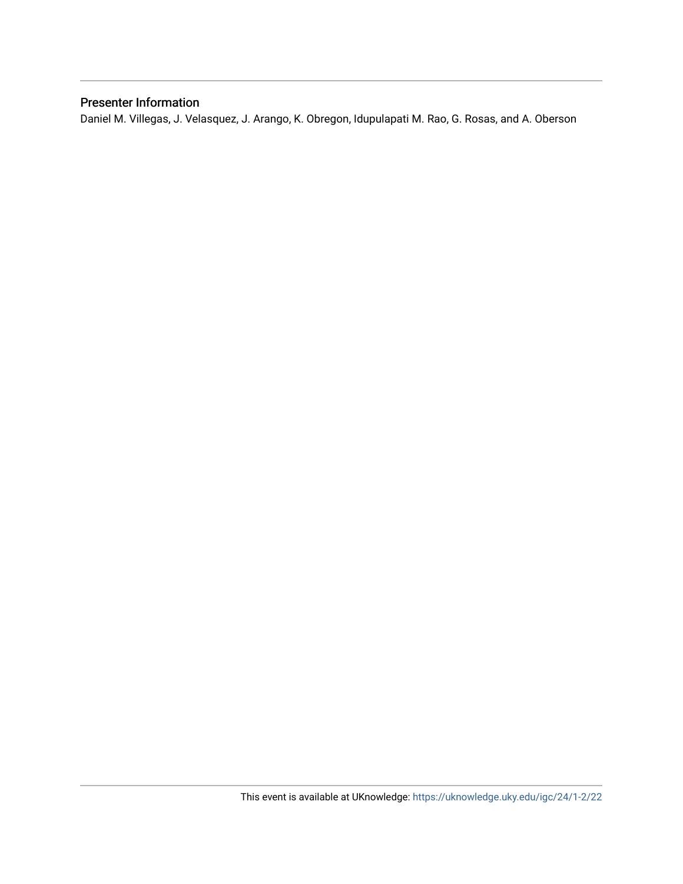# Presenter Information

Daniel M. Villegas, J. Velasquez, J. Arango, K. Obregon, Idupulapati M. Rao, G. Rosas, and A. Oberson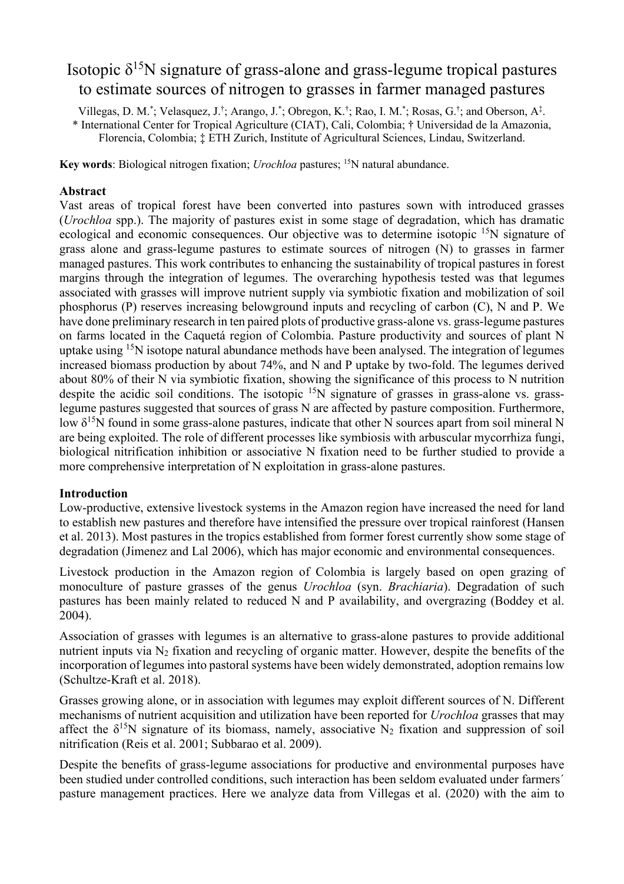# Isotopic  $\delta^{15}N$  signature of grass-alone and grass-legume tropical pastures to estimate sources of nitrogen to grasses in farmer managed pastures

Villegas, D. M.<sup>\*</sup>; Velasquez, J.<sup>†</sup>; Arango, J.<sup>\*</sup>; Obregon, K.<sup>†</sup>; Rao, I. M.<sup>\*</sup>; Rosas, G.<sup>†</sup>; and Oberson, A<sup>‡</sup>.

\* International Center for Tropical Agriculture (CIAT), Cali, Colombia; † Universidad de la Amazonia, Florencia, Colombia; ‡ ETH Zurich, Institute of Agricultural Sciences, Lindau, Switzerland.

**Key words**: Biological nitrogen fixation; *Urochloa* pastures; 15N natural abundance.

## **Abstract**

Vast areas of tropical forest have been converted into pastures sown with introduced grasses (*Urochloa* spp.). The majority of pastures exist in some stage of degradation, which has dramatic ecological and economic consequences. Our objective was to determine isotopic <sup>15</sup>N signature of grass alone and grass-legume pastures to estimate sources of nitrogen (N) to grasses in farmer managed pastures. This work contributes to enhancing the sustainability of tropical pastures in forest margins through the integration of legumes. The overarching hypothesis tested was that legumes associated with grasses will improve nutrient supply via symbiotic fixation and mobilization of soil phosphorus (P) reserves increasing belowground inputs and recycling of carbon (C), N and P. We have done preliminary research in ten paired plots of productive grass-alone vs. grass-legume pastures on farms located in the Caquetá region of Colombia. Pasture productivity and sources of plant N uptake using  $15N$  isotope natural abundance methods have been analysed. The integration of legumes increased biomass production by about 74%, and N and P uptake by two-fold. The legumes derived about 80% of their N via symbiotic fixation, showing the significance of this process to N nutrition despite the acidic soil conditions. The isotopic  $15N$  signature of grasses in grass-alone vs. grasslegume pastures suggested that sources of grass N are affected by pasture composition. Furthermore, low  $\delta^{15}N$  found in some grass-alone pastures, indicate that other N sources apart from soil mineral N are being exploited. The role of different processes like symbiosis with arbuscular mycorrhiza fungi, biological nitrification inhibition or associative N fixation need to be further studied to provide a more comprehensive interpretation of N exploitation in grass-alone pastures.

#### **Introduction**

Low-productive, extensive livestock systems in the Amazon region have increased the need for land to establish new pastures and therefore have intensified the pressure over tropical rainforest (Hansen et al. 2013). Most pastures in the tropics established from former forest currently show some stage of degradation (Jimenez and Lal 2006), which has major economic and environmental consequences.

Livestock production in the Amazon region of Colombia is largely based on open grazing of monoculture of pasture grasses of the genus *Urochloa* (syn. *Brachiaria*). Degradation of such pastures has been mainly related to reduced N and P availability, and overgrazing (Boddey et al. 2004).

Association of grasses with legumes is an alternative to grass-alone pastures to provide additional nutrient inputs via  $N_2$  fixation and recycling of organic matter. However, despite the benefits of the incorporation of legumes into pastoral systems have been widely demonstrated, adoption remains low (Schultze-Kraft et al. 2018).

Grasses growing alone, or in association with legumes may exploit different sources of N. Different mechanisms of nutrient acquisition and utilization have been reported for *Urochloa* grasses that may affect the  $\delta^{15}N$  signature of its biomass, namely, associative N<sub>2</sub> fixation and suppression of soil nitrification (Reis et al. 2001; Subbarao et al. 2009).

Despite the benefits of grass-legume associations for productive and environmental purposes have been studied under controlled conditions, such interaction has been seldom evaluated under farmers´ pasture management practices. Here we analyze data from Villegas et al. (2020) with the aim to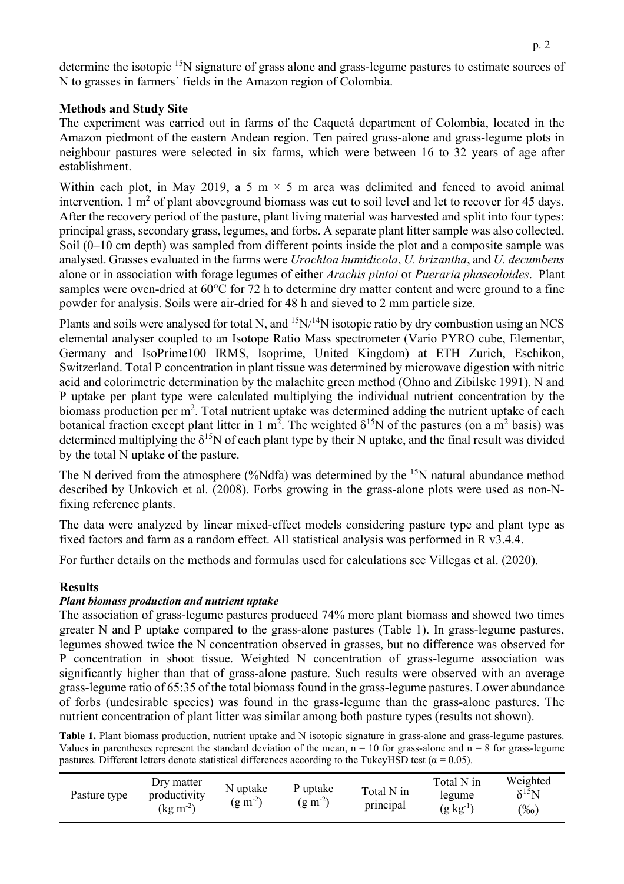determine the isotopic <sup>15</sup>N signature of grass alone and grass-legume pastures to estimate sources of N to grasses in farmers´ fields in the Amazon region of Colombia.

# **Methods and Study Site**

The experiment was carried out in farms of the Caquetá department of Colombia, located in the Amazon piedmont of the eastern Andean region. Ten paired grass-alone and grass-legume plots in neighbour pastures were selected in six farms, which were between 16 to 32 years of age after establishment.

Within each plot, in May 2019, a 5 m  $\times$  5 m area was delimited and fenced to avoid animal intervention,  $1 \text{ m}^2$  of plant aboveground biomass was cut to soil level and let to recover for 45 days. After the recovery period of the pasture, plant living material was harvested and split into four types: principal grass, secondary grass, legumes, and forbs. A separate plant litter sample was also collected. Soil (0–10 cm depth) was sampled from different points inside the plot and a composite sample was analysed. Grasses evaluated in the farms were *Urochloa humidicola*, *U. brizantha*, and *U. decumbens* alone or in association with forage legumes of either *Arachis pintoi* or *Pueraria phaseoloides*. Plant samples were oven-dried at 60°C for 72 h to determine dry matter content and were ground to a fine powder for analysis. Soils were air-dried for 48 h and sieved to 2 mm particle size.

Plants and soils were analysed for total N, and  $15N/14N$  isotopic ratio by dry combustion using an NCS elemental analyser coupled to an Isotope Ratio Mass spectrometer (Vario PYRO cube, Elementar, Germany and IsoPrime100 IRMS, Isoprime, United Kingdom) at ETH Zurich, Eschikon, Switzerland. Total P concentration in plant tissue was determined by microwave digestion with nitric acid and colorimetric determination by the malachite green method (Ohno and Zibilske 1991). N and P uptake per plant type were calculated multiplying the individual nutrient concentration by the biomass production per m<sup>2</sup>. Total nutrient uptake was determined adding the nutrient uptake of each botanical fraction except plant litter in 1 m<sup>2</sup>. The weighted  $\delta^{15}N$  of the pastures (on a m<sup>2</sup> basis) was determined multiplying the  $\delta^{15}N$  of each plant type by their N uptake, and the final result was divided by the total N uptake of the pasture.

The N derived from the atmosphere (%Ndfa) was determined by the  $15N$  natural abundance method described by Unkovich et al. (2008). Forbs growing in the grass-alone plots were used as non-Nfixing reference plants.

The data were analyzed by linear mixed-effect models considering pasture type and plant type as fixed factors and farm as a random effect. All statistical analysis was performed in R v3.4.4.

For further details on the methods and formulas used for calculations see Villegas et al. (2020).

#### **Results**

#### *Plant biomass production and nutrient uptake*

The association of grass-legume pastures produced 74% more plant biomass and showed two times greater N and P uptake compared to the grass-alone pastures (Table 1). In grass-legume pastures, legumes showed twice the N concentration observed in grasses, but no difference was observed for P concentration in shoot tissue. Weighted N concentration of grass-legume association was significantly higher than that of grass-alone pasture. Such results were observed with an average grass-legume ratio of 65:35 of the total biomass found in the grass-legume pastures. Lower abundance of forbs (undesirable species) was found in the grass-legume than the grass-alone pastures. The nutrient concentration of plant litter was similar among both pasture types (results not shown).

**Table 1.** Plant biomass production, nutrient uptake and N isotopic signature in grass-alone and grass-legume pastures. Values in parentheses represent the standard deviation of the mean,  $n = 10$  for grass-alone and  $n = 8$  for grass-legume pastures. Different letters denote statistical differences according to the TukeyHSD test ( $\alpha$  = 0.05).

| Pasture type | Dry matter<br>productivity<br>$(\text{kg m}^2)$ | N uptake<br>$(g m^{-2})$ | P uptake<br>$(g m^{-2})$ | Total N in<br>principal | Total N in<br>legume<br>$(g \text{ kg}^{-1})$ | Weighted<br>$\delta^{15}$ N<br>$\frac{9}{00}$ |
|--------------|-------------------------------------------------|--------------------------|--------------------------|-------------------------|-----------------------------------------------|-----------------------------------------------|
|--------------|-------------------------------------------------|--------------------------|--------------------------|-------------------------|-----------------------------------------------|-----------------------------------------------|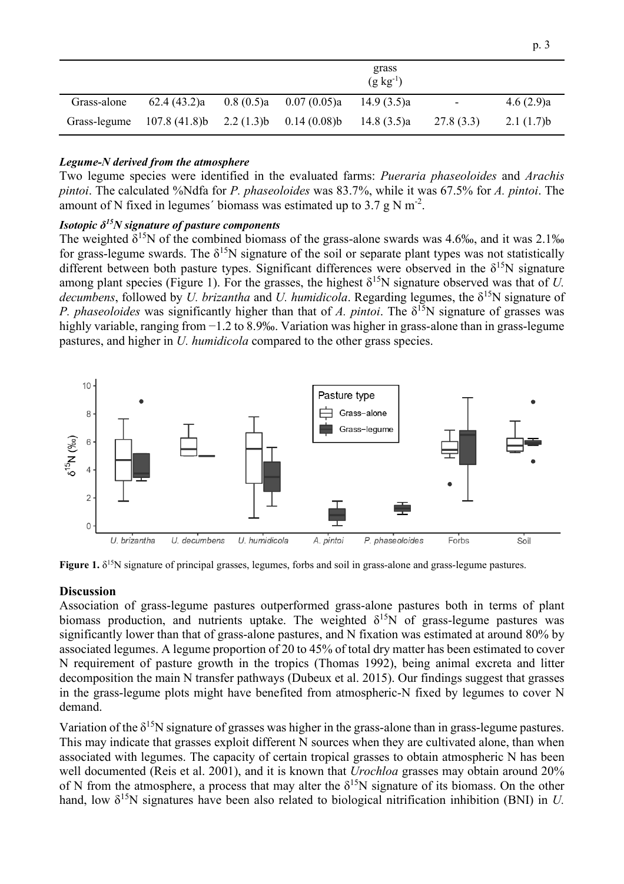|              |                                          | grass<br>$(g \, kg^{-1})$ |                          |            |                |           |  |  |
|--------------|------------------------------------------|---------------------------|--------------------------|------------|----------------|-----------|--|--|
| Grass-alone  | 62.4(43.2)a                              |                           | $0.8(0.5)a$ 0.07 (0.05)a | 14.9(3.5)a | $\blacksquare$ | 4.6(2.9)a |  |  |
| Grass-legume | $107.8(41.8)b$ $2.2(1.3)b$ $0.14(0.08)b$ |                           |                          | 14.8(3.5)a | 27.8(3.3)      | 2.1(1.7)b |  |  |

#### *Legume-N derived from the atmosphere*

Two legume species were identified in the evaluated farms: *Pueraria phaseoloides* and *Arachis pintoi*. The calculated %Ndfa for *P. phaseoloides* was 83.7%, while it was 67.5% for *A. pintoi*. The amount of N fixed in legumes' biomass was estimated up to 3.7 g N  $m^{-2}$ .

## *Isotopic δ15N signature of pasture components*

The weighted  $\delta^{15}N$  of the combined biomass of the grass-alone swards was 4.6‰, and it was 2.1‰ for grass-legume swards. The  $\delta^{15}N$  signature of the soil or separate plant types was not statistically different between both pasture types. Significant differences were observed in the  $\delta^{15}N$  signature among plant species (Figure 1). For the grasses, the highest  $\delta^{15}N$  signature observed was that of *U*. *decumbens*, followed by *U. brizantha* and *U. humidicola.* Regarding legumes, the  $\delta^{15}N$  signature of *P. phaseoloides* was significantly higher than that of *A. pintoi.* The  $\delta^{15}N$  signature of grasses was highly variable, ranging from −1.2 to 8.9‰. Variation was higher in grass-alone than in grass-legume pastures, and higher in *U. humidicola* compared to the other grass species.



**Figure 1.**  $\delta^{15}$ N signature of principal grasses, legumes, forbs and soil in grass-alone and grass-legume pastures.

#### **Discussion**

Association of grass-legume pastures outperformed grass-alone pastures both in terms of plant biomass production, and nutrients uptake. The weighted  $\delta^{15}N$  of grass-legume pastures was significantly lower than that of grass-alone pastures, and N fixation was estimated at around 80% by associated legumes. A legume proportion of 20 to 45% of total dry matter has been estimated to cover N requirement of pasture growth in the tropics (Thomas 1992), being animal excreta and litter decomposition the main N transfer pathways (Dubeux et al. 2015). Our findings suggest that grasses in the grass-legume plots might have benefited from atmospheric-N fixed by legumes to cover N demand.

Variation of the  $\delta^{15}N$  signature of grasses was higher in the grass-alone than in grass-legume pastures. This may indicate that grasses exploit different N sources when they are cultivated alone, than when associated with legumes. The capacity of certain tropical grasses to obtain atmospheric N has been well documented (Reis et al. 2001), and it is known that *Urochloa* grasses may obtain around 20% of N from the atmosphere, a process that may alter the  $\delta^{15}N$  signature of its biomass. On the other hand, low  $\delta^{15}N$  signatures have been also related to biological nitrification inhibition (BNI) in *U*.